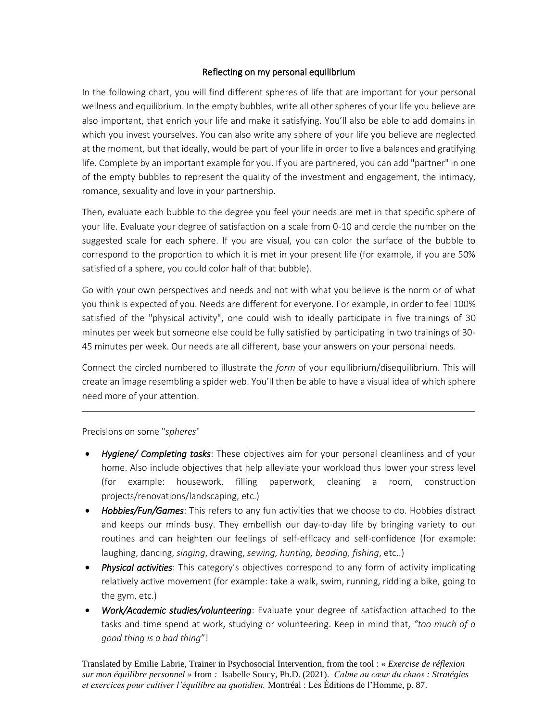## Reflecting on my personal equilibrium

In the following chart, you will find different spheres of life that are important for your personal wellness and equilibrium. In the empty bubbles, write all other spheres of your life you believe are also important, that enrich your life and make it satisfying. You'll also be able to add domains in which you invest yourselves. You can also write any sphere of your life you believe are neglected at the moment, but that ideally, would be part of your life in order to live a balances and gratifying life. Complete by an important example for you. If you are partnered, you can add "partner" in one of the empty bubbles to represent the quality of the investment and engagement, the intimacy, romance, sexuality and love in your partnership.

Then, evaluate each bubble to the degree you feel your needs are met in that specific sphere of your life. Evaluate your degree of satisfaction on a scale from 0-10 and cercle the number on the suggested scale for each sphere. If you are visual, you can color the surface of the bubble to correspond to the proportion to which it is met in your present life (for example, if you are 50% satisfied of a sphere, you could color half of that bubble).

Go with your own perspectives and needs and not with what you believe is the norm or of what you think is expected of you. Needs are different for everyone. For example, in order to feel 100% satisfied of the "physical activity", one could wish to ideally participate in five trainings of 30 minutes per week but someone else could be fully satisfied by participating in two trainings of 30- 45 minutes per week. Our needs are all different, base your answers on your personal needs.

Connect the circled numbered to illustrate the *form* of your equilibrium/disequilibrium. This will create an image resembling a spider web. You'll then be able to have a visual idea of which sphere need more of your attention.

## Precisions on some "*spheres*"

- *Hygiene/ Completing tasks*: These objectives aim for your personal cleanliness and of your home. Also include objectives that help alleviate your workload thus lower your stress level (for example: housework, filling paperwork, cleaning a room, construction projects/renovations/landscaping, etc.)
- *Hobbies/Fun/Games*: This refers to any fun activities that we choose to do. Hobbies distract and keeps our minds busy. They embellish our day-to-day life by bringing variety to our routines and can heighten our feelings of self-efficacy and self-confidence (for example: laughing, dancing, *singing*, drawing, *sewing, hunting, beading, fishing*, etc..)
- *Physical activities*: This category's objectives correspond to any form of activity implicating relatively active movement (for example: take a walk, swim, running, ridding a bike, going to the gym, etc.)
- *Work/Academic studies/volunteering*: Evaluate your degree of satisfaction attached to the tasks and time spend at work, studying or volunteering. Keep in mind that, *"too much of a good thing is a bad thing*"!

Translated by Emilie Labrie, Trainer in Psychosocial Intervention, from the tool : « *Exercise de réflexion sur mon équilibre personnel »* from *:* Isabelle Soucy, Ph.D. (2021). *Calme au cœur du chaos : Stratégies et exercices pour cultiver l'équilibre au quotidien.* Montréal : Les Éditions de l'Homme, p. 87.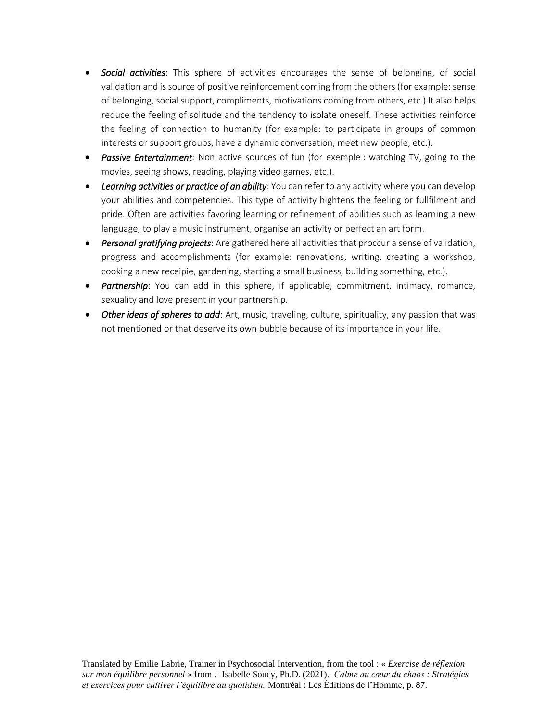- *Social activities*: This sphere of activities encourages the sense of belonging, of social validation and is source of positive reinforcement coming from the others (for example: sense of belonging, social support, compliments, motivations coming from others, etc.) It also helps reduce the feeling of solitude and the tendency to isolate oneself. These activities reinforce the feeling of connection to humanity (for example: to participate in groups of common interests or support groups, have a dynamic conversation, meet new people, etc.).
- *Passive Entertainment:* Non active sources of fun (for exemple : watching TV, going to the movies, seeing shows, reading, playing video games, etc.).
- *Learning activities or practice of an ability*: You can refer to any activity where you can develop your abilities and competencies. This type of activity hightens the feeling or fullfilment and pride. Often are activities favoring learning or refinement of abilities such as learning a new language, to play a music instrument, organise an activity or perfect an art form.
- *Personal gratifying projects*: Are gathered here all activities that proccur a sense of validation, progress and accomplishments (for example: renovations, writing, creating a workshop, cooking a new receipie, gardening, starting a small business, building something, etc.).
- *Partnership*: You can add in this sphere, if applicable, commitment, intimacy, romance, sexuality and love present in your partnership.
- *Other ideas of spheres to add*: Art, music, traveling, culture, spirituality, any passion that was not mentioned or that deserve its own bubble because of its importance in your life.